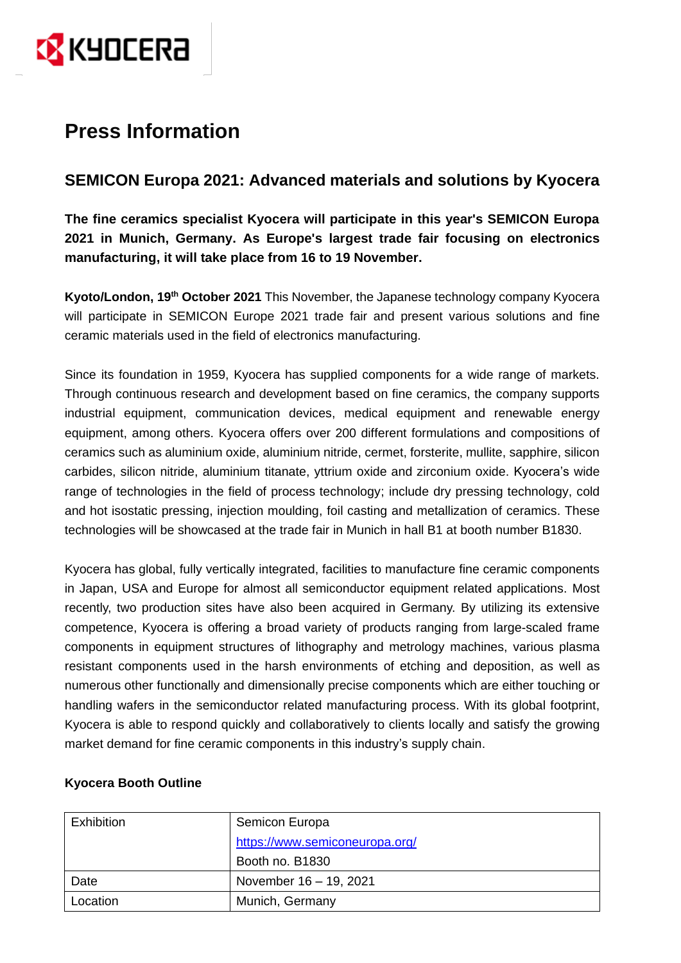

# **Press Information**

## **SEMICON Europa 2021: Advanced materials and solutions by Kyocera**

**The fine ceramics specialist Kyocera will participate in this year's SEMICON Europa 2021 in Munich, Germany. As Europe's largest trade fair focusing on electronics manufacturing, it will take place from 16 to 19 November.**

**Kyoto/London, 19th October 2021** This November, the Japanese technology company Kyocera will participate in SEMICON Europe 2021 trade fair and present various solutions and fine ceramic materials used in the field of electronics manufacturing.

Since its foundation in 1959, Kyocera has supplied components for a wide range of markets. Through continuous research and development based on fine ceramics, the company supports industrial equipment, communication devices, medical equipment and renewable energy equipment, among others. Kyocera offers over 200 different formulations and compositions of ceramics such as aluminium oxide, aluminium nitride, cermet, forsterite, mullite, sapphire, silicon carbides, silicon nitride, aluminium titanate, yttrium oxide and zirconium oxide. Kyocera's wide range of technologies in the field of process technology; include dry pressing technology, cold and hot isostatic pressing, injection moulding, foil casting and metallization of ceramics. These technologies will be showcased at the trade fair in Munich in hall B1 at booth number B1830.

Kyocera has global, fully vertically integrated, facilities to manufacture fine ceramic components in Japan, USA and Europe for almost all semiconductor equipment related applications. Most recently, two production sites have also been acquired in Germany. By utilizing its extensive competence, Kyocera is offering a broad variety of products ranging from large-scaled frame components in equipment structures of lithography and metrology machines, various plasma resistant components used in the harsh environments of etching and deposition, as well as numerous other functionally and dimensionally precise components which are either touching or handling wafers in the semiconductor related manufacturing process. With its global footprint, Kyocera is able to respond quickly and collaboratively to clients locally and satisfy the growing market demand for fine ceramic components in this industry's supply chain.

| Exhibition | Semicon Europa                 |
|------------|--------------------------------|
|            | https://www.semiconeuropa.org/ |
|            | Booth no. B1830                |
| Date       | November 16 - 19, 2021         |
| Location   | Munich, Germany                |

## **Kyocera Booth Outline**